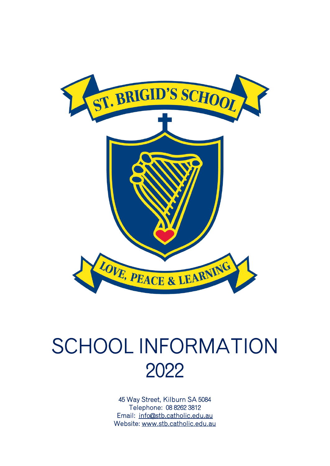

# SCHOOL INFORMATION 2022

45 Way Street, Kilburn SA 5084 Telephone: 08 8262 3812 Email: [info@stb.catholic.edu.au](mailto:info@stb.catholic.edu.au)  Website: [www.stb.catholic.edu.au](http://www.stb.catholic.edu.au/)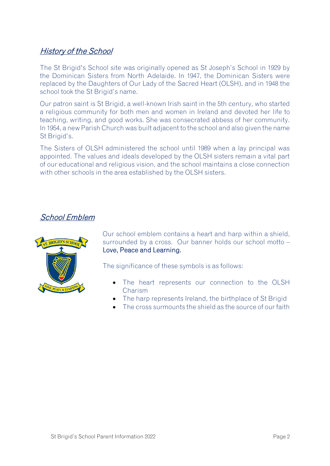#### History of the School

The St Brigid's School site was originally opened as St Joseph's School in 1929 by the Dominican Sisters from North Adelaide. In 1947, the Dominican Sisters were replaced by the Daughters of Our Lady of the Sacred Heart (OLSH), and in 1948 the school took the St Brigid's name.

Our patron saint is St Brigid, a well-known Irish saint in the 5th century, who started a religious community for both men and women in Ireland and devoted her life to teaching, writing, and good works. She was consecrated abbess of her community. In 1954, a new Parish Church was built adjacent to the school and also given the name St Brigid's.

The Sisters of OLSH administered the school until 1989 when a lay principal was appointed. The values and ideals developed by the OLSH sisters remain a vital part of our educational and religious vision, and the school maintains a close connection with other schools in the area established by the OLSH sisters.

#### School Emblem



Our school emblem contains a heart and harp within a shield, surrounded by a cross. Our banner holds our school motto – Love, Peace and Learning.

The significance of these symbols is as follows:

- The heart represents our connection to the OLSH Charism
- The harp represents Ireland, the birthplace of St Brigid
- The cross surmounts the shield as the source of our faith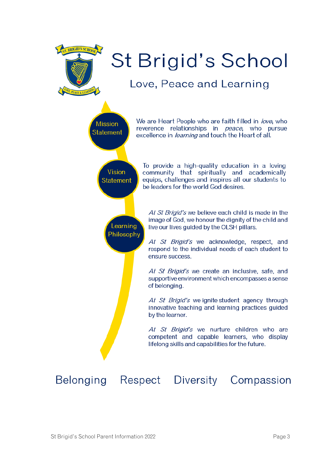

# St Brigid's School

### Love, Peace and Learning

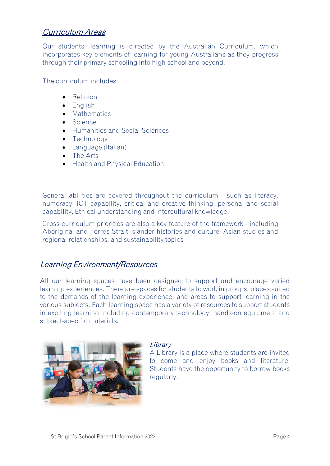#### Curriculum Areas

Our students' learning is directed by the Australian Curriculum, which incorporates key elements of learning for young Australians as they progress through their primary schooling into high school and beyond.

The curriculum includes:

- Religion
- English
- Mathematics
- Science
- Humanities and Social Sciences
- Technology
- Language (Italian)
- The Arts
- Health and Physical Education

General abilities are covered throughout the curriculum - such as literacy, numeracy, ICT capability, critical and creative thinking, personal and social capability, Ethical understanding and intercultural knowledge.

Cross-curriculum priorities are also a key feature of the framework - including Aboriginal and Torres Strait Islander histories and culture, Asian studies and regional relationships, and sustainability topics

#### Learning Environment/Resources

All our learning spaces have been designed to support and encourage varied learning experiences. There are spaces for students to work in groups, places suited to the demands of the learning experience, and areas to support learning in the various subjects. Each learning space has a variety of resources to support students in exciting learning including contemporary technology, hands-on equipment and subject-specific materials.



#### **Library**

A Library is a place where students are invited to come and enjoy books and literature. Students have the opportunity to borrow books regularly.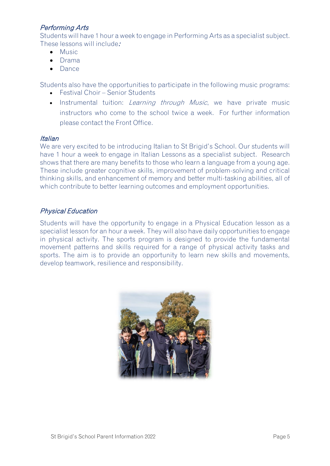#### Performing Arts

Students will have 1 hour a week to engage in Performing Arts as a specialist subject. These lessons will include:

- Music
- Drama
- Dance

Students also have the opportunities to participate in the following music programs:

- Festival Choir Senior Students
- Instrumental tuition: *Learning through Music*, we have private music instructors who come to the school twice a week. For further information please contact the Front Office.

#### Italian

We are very excited to be introducing Italian to St Brigid's School. Our students will have 1 hour a week to engage in Italian Lessons as a specialist subject. Research shows that there are many benefits to those who learn a language from a young age. These include greater cognitive skills, improvement of problem-solving and critical thinking skills, and enhancement of memory and better multi-tasking abilities, all of which contribute to better learning outcomes and employment opportunities.

#### Physical Education

Students will have the opportunity to engage in a Physical Education lesson as a specialist lesson for an hour a week. They will also have daily opportunities to engage in physical activity. The sports program is designed to provide the fundamental movement patterns and skills required for a range of physical activity tasks and sports. The aim is to provide an opportunity to learn new skills and movements, develop teamwork, resilience and responsibility.

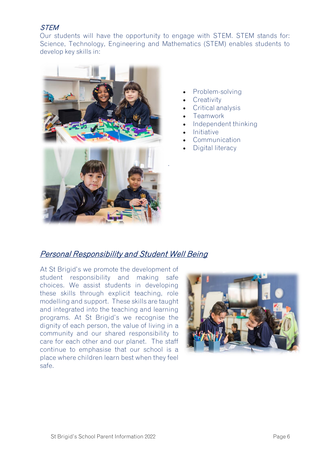#### STEM

Our students will have the opportunity to engage with STEM. STEM stands for: Science, Technology, Engineering and Mathematics (STEM) enables students to develop key skills in:



- Problem-solving
- **Creativity**
- Critical analysis
- Teamwork
- Independent thinking
- Initiative
- Communication
- Digital literacy

#### Personal Responsibility and Student Well Being

At St Brigid's we promote the development of student responsibility and making safe choices. We assist students in developing these skills through explicit teaching, role modelling and support. These skills are taught and integrated into the teaching and learning programs. At St Brigid's we recognise the dignity of each person, the value of living in a community and our shared responsibility to care for each other and our planet. The staff continue to emphasise that our school is a place where children learn best when they feel safe.

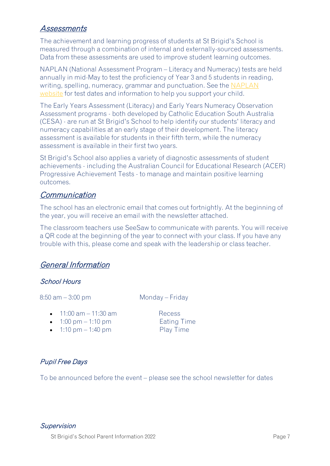#### Assessments

The achievement and learning progress of students at St Brigid's School is measured through a combination of internal and externally-sourced assessments. Data from these assessments are used to improve student learning outcomes.

NAPLAN (National Assessment Program – Literacy and Numeracy) tests are held annually in mid-May to test the proficiency of Year 3 and 5 students in reading, writing, spelling, numeracy, grammar and punctuation. See the [NAPLAN](https://www.nap.edu.au/default.aspx)  [website](https://www.nap.edu.au/default.aspx) for test dates and information to help you support your child.

The Early Years Assessment (Literacy) and Early Years Numeracy Observation Assessment programs - both developed by Catholic Education South Australia (CESA) - are run at St Brigid's School to help identify our students' literacy and numeracy capabilities at an early stage of their development. The literacy assessment is available for students in their fifth term, while the numeracy assessment is available in their first two years.

St Brigid's School also applies a variety of diagnostic assessments of student achievements - including the Australian Council for Educational Research (ACER) Progressive Achievement Tests - to manage and maintain positive learning outcomes.

#### Communication

The school has an electronic email that comes out fortnightly. At the beginning of the year, you will receive an email with the newsletter attached.

The classroom teachers use SeeSaw to communicate with parents. You will receive a QR code at the beginning of the year to connect with your class. If you have any trouble with this, please come and speak with the leadership or class teacher.

#### General Information

#### School Hours

 $8:50$  am  $-3:00$  pm Monday – Friday

- $11:00 \text{ am} 11:30 \text{ am}$  Recess
- $\bullet$  1:00 pm 1:10 pm Eating Time
- $\bullet$  1:10 pm  $-$  1:40 pm Play Time

#### Pupil Free Days

To be announced before the event – please see the school newsletter for dates

St Brigid's School Parent Information 2022 Page 7 **Supervision**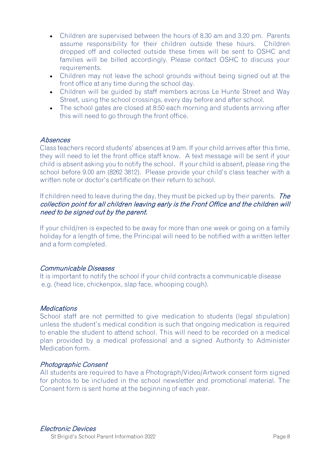- Children are supervised between the hours of 8.30 am and 3.20 pm. Parents assume responsibility for their children outside these hours. Children dropped off and collected outside these times will be sent to OSHC and families will be billed accordingly. Please contact OSHC to discuss your requirements.
- Children may not leave the school grounds without being signed out at the front office at any time during the school day.
- Children will be guided by staff members across Le Hunte Street and Way Street, using the school crossings, every day before and after school.
- The school gates are closed at 8:50 each morning and students arriving after this will need to go through the front office.

#### Absences

Class teachers record students' absences at 9 am. If your child arrives after this time, they will need to let the front office staff know. A text message will be sent if your child is absent asking you to notify the school. If your child is absent, please ring the school before 9.00 am (8262 3812). Please provide your child's class teacher with a written note or doctor's certificate on their return to school.

If children need to leave during the day, they must be picked up by their parents. The collection point for all children leaving early is the Front Office and the children will need to be signed out by the parent.

If your child/ren is expected to be away for more than one week or going on a family holiday for a length of time, the Principal will need to be notified with a written letter and a form completed.

#### Communicable Diseases

It is important to notify the school if your child contracts a communicable disease e.g. (head lice, chickenpox, slap face, whooping cough).

#### **Medications**

School staff are not permitted to give medication to students (legal stipulation) unless the student's medical condition is such that ongoing medication is required to enable the student to attend school. This will need to be recorded on a medical plan provided by a medical professional and a signed Authority to Administer Medication form.

#### Photographic Consent

All students are required to have a Photograph/Video/Artwork consent form signed for photos to be included in the school newsletter and promotional material. The Consent form is sent home at the beginning of each year.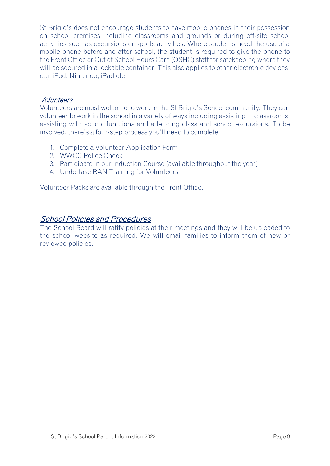St Brigid's does not encourage students to have mobile phones in their possession on school premises including classrooms and grounds or during off-site school activities such as excursions or sports activities. Where students need the use of a mobile phone before and after school, the student is required to give the phone to the Front Office or Out of School Hours Care (OSHC) staff for safekeeping where they will be secured in a lockable container. This also applies to other electronic devices, e.g. iPod, Nintendo, iPad etc.

#### Volunteers

Volunteers are most welcome to work in the St Brigid's School community. They can volunteer to work in the school in a variety of ways including assisting in classrooms, assisting with school functions and attending class and school excursions. To be involved, there's a four-step process you'll need to complete:

- 1. Complete a Volunteer Application Form
- 2. WWCC Police Check
- 3. Participate in our Induction Course (available throughout the year)
- 4. Undertake RAN Training for Volunteers

Volunteer Packs are available through the Front Office.

#### School Policies and Procedures

The School Board will ratify policies at their meetings and they will be uploaded to the school website as required. We will email families to inform them of new or reviewed policies.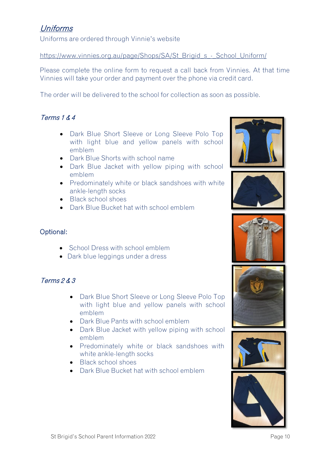#### Uniforms

Uniforms are ordered through Vinnie's website

#### [https://www.vinnies.org.au/page/Shops/SA/St\\_Brigid\\_s\\_-\\_School\\_Uniform/](https://www.vinnies.org.au/page/Shops/SA/St_Brigid_s_-_School_Uniform/)

Please complete the online form to request a call back from Vinnies. At that time Vinnies will take your order and payment over the phone via credit card.

The order will be delivered to the school for collection as soon as possible.

#### Terms 1 & 4

- Dark Blue Short Sleeve or Long Sleeve Polo Top with light blue and yellow panels with school emblem
- Dark Blue Shorts with school name
- Dark Blue Jacket with yellow piping with school emblem
- Predominately white or black sandshoes with white ankle-length socks
- Black school shoes
- Dark Blue Bucket hat with school emblem

#### Optional:

- School Dress with school emblem
- Dark blue leggings under a dress

#### Terms 2 & 3

- Dark Blue Short Sleeve or Long Sleeve Polo Top with light blue and yellow panels with school emblem
- Dark Blue Pants with school emblem
- Dark Blue Jacket with yellow piping with school emblem
- Predominately white or black sandshoes with white ankle-length socks
- Black school shoes
- Dark Blue Bucket hat with school emblem











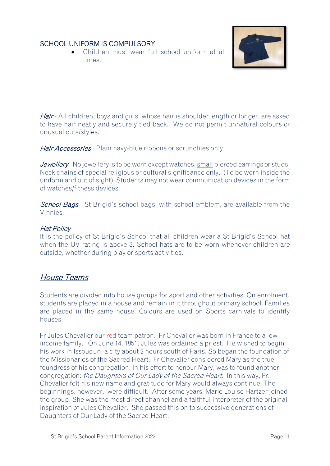#### SCHOOL UNIFORM IS COMPULSORY

• Children must wear full school uniform at all times.



Hair - All children, boys and girls, whose hair is shoulder length or longer, are asked to have hair neatly and securely tied back. We do not permit unnatural colours or unusual cuts/styles.

Hair Accessories - Plain navy-blue ribbons or scrunchies only.

Jewellery - No jewellery is to be worn except watches, small pierced earrings or studs. Neck chains of special religious or cultural significance only. (To be worn inside the uniform and out of sight). Students may not wear communication devices in the form of watches/fitness devices.

School Bags - St Brigid's school bags, with school emblem, are available from the Vinnies.

#### **Hat Policy**

It is the policy of St Brigid's School that all children wear a St Brigid's School hat when the UV rating is above 3. School hats are to be worn whenever children are outside, whether during play or sports activities.

#### House Teams

Students are divided into house groups for sport and other activities. On enrolment, students are placed in a house and remain in it throughout primary school. Families are placed in the same house. Colours are used on Sports carnivals to identify houses.

Fr Jules Chevalier our red team patron. Fr Chevalier was born in France to a lowincome family. On June 14, 1851, Jules was ordained a priest. He wished to begin his work in Issoudun, a city about 2 hours south of Paris. So began the foundation of the Missionaries of the Sacred Heart, Fr Chevalier considered Mary as the true foundress of his congregation. In his effort to honour Mary, was to found another congregation: the Daughters of Our Lady of the Sacred Heart. In this way, Fr. Chevalier felt his new name and gratitude for Mary would always continue. The beginnings, however, were difficult. After some years, Marie Louise Hartzer joined the group. She was the most direct channel and a faithful interpreter of the original inspiration of Jules Chevalier. She passed this on to successive generations of Daughters of Our Lady of the Sacred Heart.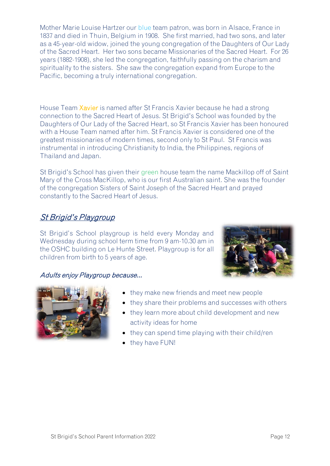Mother Marie Louise Hartzer our blue team patron, was born in Alsace, France in 1837 and died in Thuin, Belgium in 1908. She first married, had two sons, and later as a 45-year-old widow, joined the young congregation of the Daughters of Our Lady of the Sacred Heart. Her two sons became Missionaries of the Sacred Heart. For 26 years (1882-1908), she led the congregation, faithfully passing on the charism and spirituality to the sisters. She saw the congregation expand from Europe to the Pacific, becoming a truly international congregation.

House Team Xavier is named after St Francis Xavier because he had a strong connection to the Sacred Heart of Jesus. St Brigid's School was founded by the Daughters of Our Lady of the Sacred Heart, so St Francis Xavier has been honoured with a House Team named after him. St Francis Xavier is considered one of the greatest missionaries of modern times, second only to St Paul. St Francis was instrumental in introducing Christianity to India, the Philippines, regions of Thailand and Japan.

St Brigid's School has given their green house team the name Mackillop off of Saint Mary of the Cross MacKillop, who is our first Australian saint. She was the founder of the congregation Sisters of Saint Joseph of the Sacred Heart and prayed constantly to the Sacred Heart of Jesus.

#### St Brigid's Playgroup

St Brigid's School playgroup is held every Monday and Wednesday during school term time from 9 am-10.30 am in the OSHC building on Le Hunte Street. Playgroup is for all children from birth to 5 years of age.



#### Adults enjoy Playgroup because...



- they make new friends and meet new people
- they share their problems and successes with others
- they learn more about child development and new activity ideas for home
- they can spend time playing with their child/ren
- they have FUN!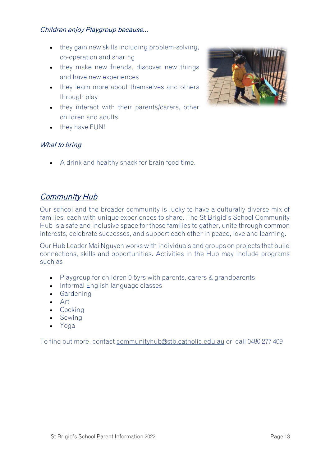#### Children enjoy Playgroup because...

- they gain new skills including problem-solving. co-operation and sharing
- they make new friends, discover new things and have new experiences
- they learn more about themselves and others through play
- they interact with their parents/carers, other children and adults
- they have FUN!

#### What to bring

• A drink and healthy snack for brain food time.



#### Community Hub

Our school and the broader community is lucky to have a culturally diverse mix of families, each with unique experiences to share. The St Brigid's School Community Hub is a safe and inclusive space for those families to gather, unite through common interests, celebrate successes, and support each other in peace, love and learning.

Our Hub Leader Mai Nguyen works with individuals and groups on projects that build connections, skills and opportunities. Activities in the Hub may include programs such as

- Playgroup for children 0-5yrs with parents, carers & grandparents
- Informal English language classes
- Gardening
- Art
- Cooking
- Sewing
- Yoga

To find out more, contact [communityhub@stb.catholic.edu.au](mailto:communityhub@stb.catholic.edu.au?subject=&body=) or call 0480 277 409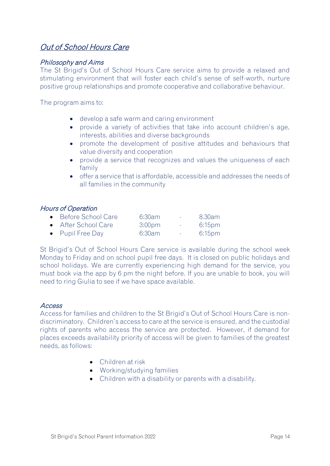#### Out of School Hours Care

#### Philosophy and Aims

The St Brigid's Out of School Hours Care service aims to provide a relaxed and stimulating environment that will foster each child's sense of self-worth, nurture positive group relationships and promote cooperative and collaborative behaviour.

The program aims to:

- develop a safe warm and caring environment
- provide a variety of activities that take into account children's age, interests, abilities and diverse backgrounds
- promote the development of positive attitudes and behaviours that value diversity and cooperation
- provide a service that recognizes and values the uniqueness of each family
- offer a service that is affordable, accessible and addresses the needs of all families in the community

#### Hours of Operation

| • Before School Care | 6:30am             | $\Delta \sim 100$   | 8.30am |
|----------------------|--------------------|---------------------|--------|
| • After School Care  | 3:00 <sub>pm</sub> | $\omega_{\rm{max}}$ | 6:15pm |
| • Pupil Free Day     | 6:30am             | $\Delta \sim 100$   | 6:15pm |

St Brigid's Out of School Hours Care service is available during the school week Monday to Friday and on school pupil free days. It is closed on public holidays and school holidays. We are currently experiencing high demand for the service, you must book via the app by 6 pm the night before. If you are unable to book, you will need to ring Giulia to see if we have space available.

#### Access

Access for families and children to the St Brigid's Out of School Hours Care is nondiscriminatory. Children's access to care at the service is ensured, and the custodial rights of parents who access the service are protected. However, if demand for places exceeds availability priority of access will be given to families of the greatest needs, as follows:

- Children at risk
- Working/studying families
- Children with a disability or parents with a disability.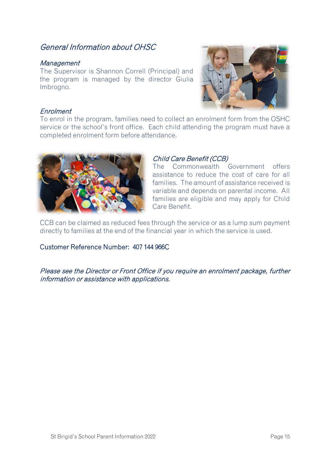#### General Information about OHSC

#### **Management**

The Supervisor is Shannon Correll (Principal) and the program is managed by the director Giulia Imbrogno.



#### Enrolment

To enrol in the program, families need to collect an enrolment form from the OSHC service or the school's front office. Each child attending the program must have a completed enrolment form before attendance.



#### Child Care Benefit (CCB)

The Commonwealth Government offers assistance to reduce the cost of care for all families. The amount of assistance received is variable and depends on parental income. All families are eligible and may apply for Child Care Benefit.

CCB can be claimed as reduced fees through the service or as a lump sum payment directly to families at the end of the financial year in which the service is used.

#### Customer Reference Number: 407 144 966C

Please see the Director or Front Office if you require an enrolment package, further information or assistance with applications.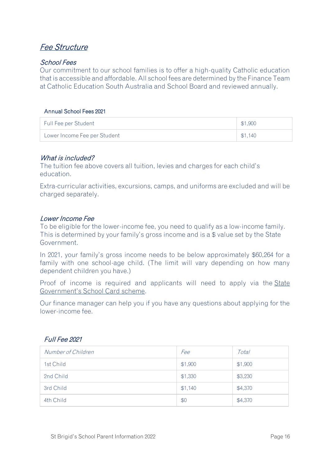#### Fee Structure

#### School Fees

Our commitment to our school families is to offer a high-quality Catholic education that is accessible and affordable. All school fees are determined by the Finance Team at Catholic Education South Australia and School Board and reviewed annually.

#### Annual School Fees 2021

| Full Fee per Student         | \$1,900 |
|------------------------------|---------|
| Lower Income Fee per Student | \$1,140 |

#### What is included?

The tuition fee above covers all tuition, levies and charges for each child's education.

Extra-curricular activities, excursions, camps, and uniforms are excluded and will be charged separately.

#### Lower Income Fee

To be eligible for the lower-income fee, you need to qualify as a low-income family. This is determined by your family's gross income and is a \$ value set by the State Government.

In 2021, your family's gross income needs to be below approximately \$60,264 for a family with one school-age child. (The limit will vary depending on how many dependent children you have.)

Proof of income is required and applicants will need to apply via the [State](https://www.sa.gov.au/topics/education-and-learning/financial-help-scholarships-and-grants/school-card-scheme)  [Government's School Card scheme](https://www.sa.gov.au/topics/education-and-learning/financial-help-scholarships-and-grants/school-card-scheme).

Our finance manager can help you if you have any questions about applying for the lower-income fee.

#### Full Fee 2021

| Number of Children | Fee     | Total   |
|--------------------|---------|---------|
| 1st Child          | \$1,900 | \$1,900 |
| 2nd Child          | \$1,330 | \$3,230 |
| 3rd Child          | \$1,140 | \$4,370 |
| 4th Child          | \$0     | \$4,370 |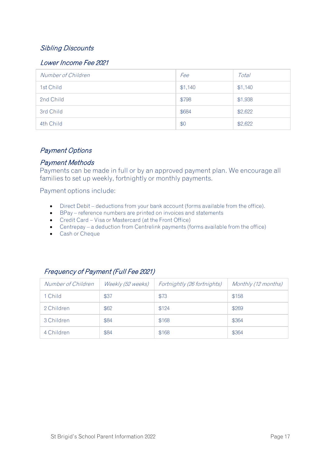#### Sibling Discounts

#### Lower Income Fee 2021

| Number of Children | Fee     | Total   |
|--------------------|---------|---------|
| 1st Child          | \$1,140 | \$1,140 |
| 2nd Child          | \$798   | \$1,938 |
| 3rd Child          | \$684   | \$2,622 |
| 4th Child          | \$0     | \$2,622 |

#### Payment Options

#### Payment Methods

Payments can be made in full or by an approved payment plan. We encourage all families to set up weekly, fortnightly or monthly payments.

Payment options include:

- Direct Debit deductions from your bank account (forms available from the office).
- BPay reference numbers are printed on invoices and statements
- Credit Card Visa or Mastercard (at the Front Office)
- Centrepay a deduction from Centrelink payments (forms available from the office)
- Cash or Cheque

#### Frequency of Payment (Full Fee 2021)

| Number of Children | Weekly (52 weeks) | Fortnightly (26 fortnights) | Monthly (12 months) |
|--------------------|-------------------|-----------------------------|---------------------|
| 1 Child            | \$37              | \$73                        | \$158               |
| 2 Children         | \$62              | \$124                       | \$269               |
| 3 Children         | \$84              | \$168                       | \$364               |
| 4 Children         | \$84              | \$168                       | \$364               |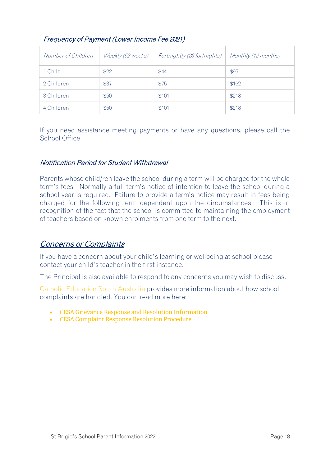| Number of Children | Weekly (52 weeks) | Fortnightly (26 fortnights) | Monthly (12 months) |
|--------------------|-------------------|-----------------------------|---------------------|
| 1 Child            | \$22              | \$44                        | \$95                |
| 2 Children         | \$37              | \$75                        | \$162               |
| 3 Children         | \$50              | \$101                       | \$218               |
| 4 Children         | \$50              | \$101                       | \$218               |

#### Frequency of Payment (Lower Income Fee 2021)

If you need assistance meeting payments or have any questions, please call the School Office.

#### Notification Period for Student Withdrawal

Parents whose child/ren leave the school during a term will be charged for the whole term's fees. Normally a full term's notice of intention to leave the school during a school year is required. Failure to provide a term's notice may result in fees being charged for the following term dependent upon the circumstances. This is in recognition of the fact that the school is committed to maintaining the employment of teachers based on known enrolments from one term to the next.

#### Concerns or Complaints

If you have a concern about your child's learning or wellbeing at school please contact your child's teacher in the first instance.

The Principal is also available to respond to any concerns you may wish to discuss.

[Catholic Education South Australia](https://www.cesa.catholic.edu.au/our-schools/safe-environments-for-all) provides more information about how school complaints are handled. You can read more here:

- [CESA Grievance Response and Resolution Information](https://www.cesa.catholic.edu.au/__files/d/69195/Grievance_Response_and_Resolution_information_for_complainants1.pdf)
- [CESA Complaint Response Resolution Procedure](https://www.cesa.catholic.edu.au/__files/d/63650/ComplaintResponseandResolutionProcedure.pdf)